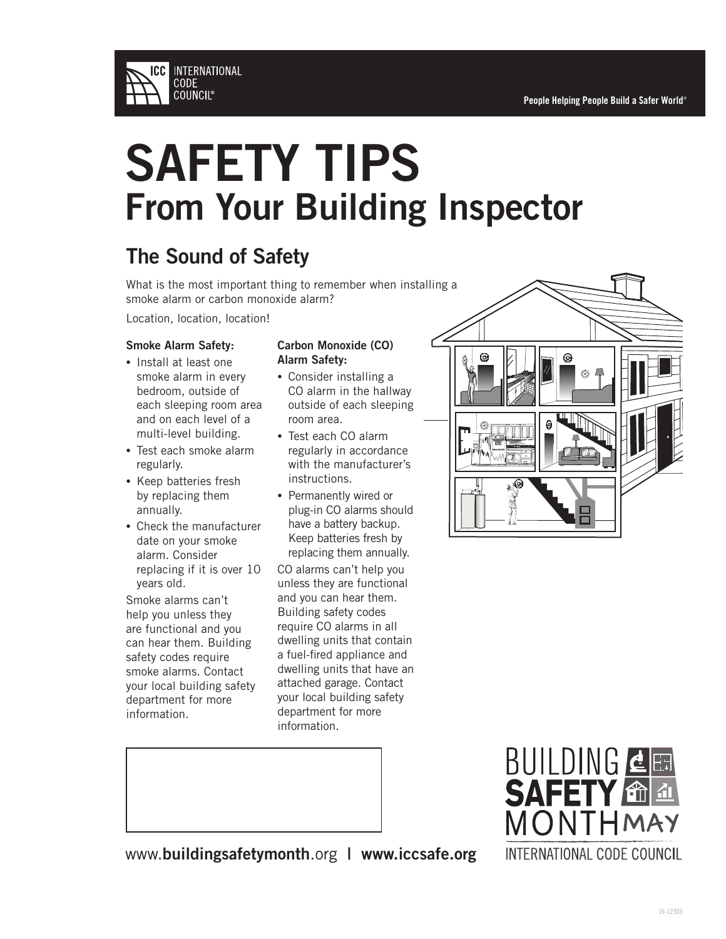

### The Sound of Safety

What is the most important thing to remember when installing a smoke alarm or carbon monoxide alarm?

Location, location, location!

#### Smoke Alarm Safety:

- Install at least one smoke alarm in every bedroom, outside of each sleeping room area and on each level of a multi-level building.
- Test each smoke alarm regularly.
- Keep batteries fresh by replacing them annually.
- Check the manufacturer date on your smoke alarm. Consider replacing if it is over 10 years old.

Smoke alarms can't help you unless they are functional and you can hear them. Building safety codes require smoke alarms. Contact your local building safety department for more information.

#### Carbon Monoxide (CO) Alarm Safety:

- Consider installing a CO alarm in the hallway outside of each sleeping room area.
- Test each CO alarm regularly in accordance with the manufacturer's instructions.
- Permanently wired or plug-in CO alarms should have a battery backup. Keep batteries fresh by replacing them annually.

CO alarms can't help you unless they are functional and you can hear them. Building safety codes require CO alarms in all dwelling units that contain a fuel-fired appliance and dwelling units that have an attached garage. Contact your local building safety department for more information.





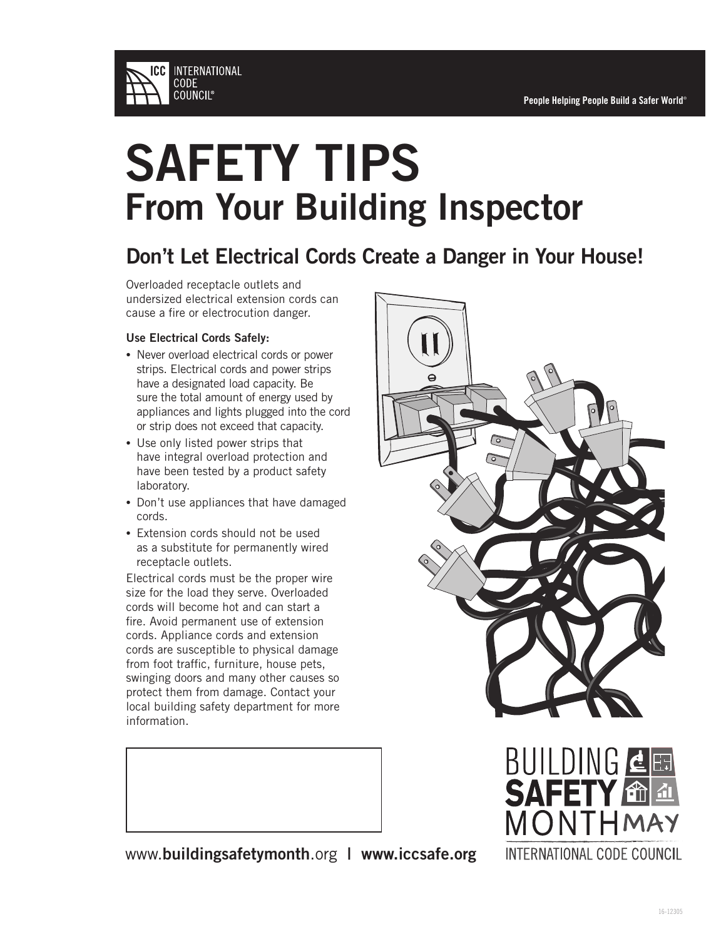

### Don't Let Electrical Cords Create a Danger in Your House!

Overloaded receptacle outlets and undersized electrical extension cords can cause a fire or electrocution danger.

#### Use Electrical Cords Safely:

- Never overload electrical cords or power strips. Electrical cords and power strips have a designated load capacity. Be sure the total amount of energy used by appliances and lights plugged into the cord or strip does not exceed that capacity.
- Use only listed power strips that have integral overload protection and have been tested by a product safety laboratory.
- Don't use appliances that have damaged cords.
- Extension cords should not be used as a substitute for permanently wired receptacle outlets.

Electrical cords must be the proper wire size for the load they serve. Overloaded cords will become hot and can start a fire. Avoid permanent use of extension cords. Appliance cords and extension cords are susceptible to physical damage from foot traffic, furniture, house pets, swinging doors and many other causes so protect them from damage. Contact your local building safety department for more information.





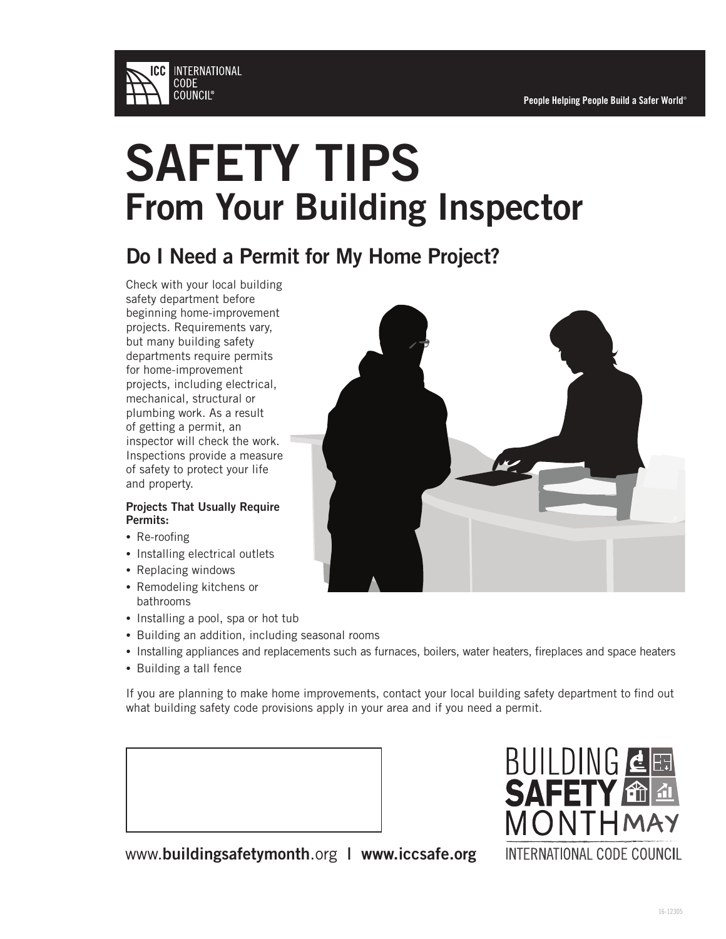

### Do I Need a Permit for My Home Project?

Check with your local building safety department before beginning home-improvement projects. Requirements vary, but many building safety departments require permits for home-improvement projects, including electrical, mechanical, structural or plumbing work. As a result of getting a permit, an inspector will check the work. Inspections provide a measure of safety to protect your life and property.

#### Projects That Usually Require Permits:

- Re-roofing
- Installing electrical outlets
- Replacing windows
- Remodeling kitchens or bathrooms
- Installing a pool, spa or hot tub
- Building an addition, including seasonal rooms
- Installing appliances and replacements such as furnaces, boilers, water heaters, fireplaces and space heaters
- Building a tall fence

If you are planning to make home improvements, contact your local building safety department to find out what building safety code provisions apply in your area and if you need a permit.

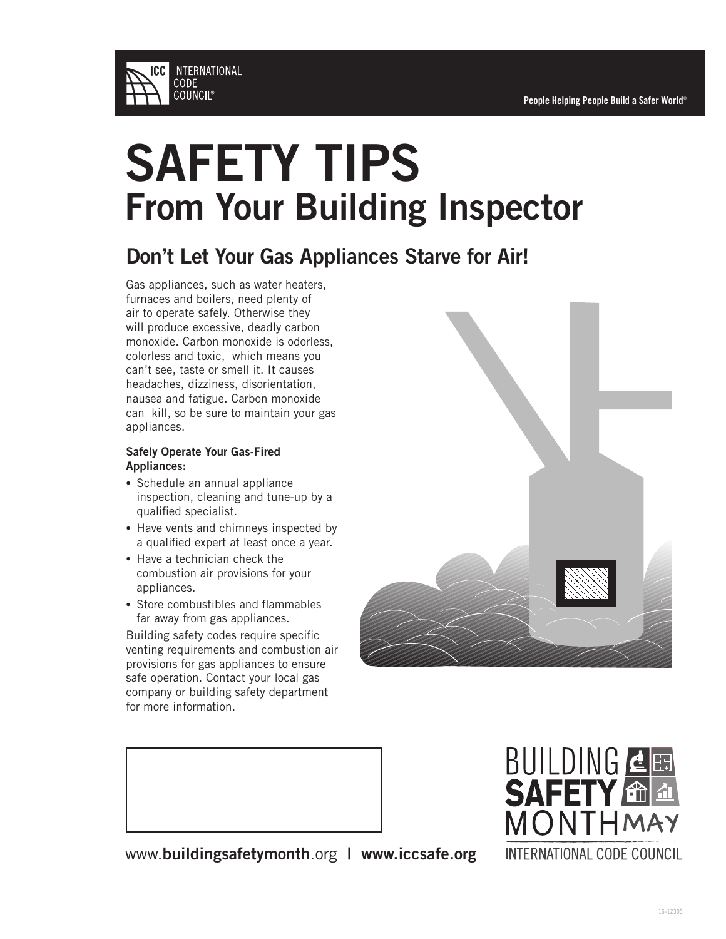

### Don't Let Your Gas Appliances Starve for Air!

Gas appliances, such as water heaters, furnaces and boilers, need plenty of air to operate safely. Otherwise they will produce excessive, deadly carbon monoxide. Carbon monoxide is odorless, colorless and toxic, which means you can't see, taste or smell it. It causes headaches, dizziness, disorientation, nausea and fatigue. Carbon monoxide can kill, so be sure to maintain your gas appliances.

#### Safely Operate Your Gas-Fired Appliances:

- Schedule an annual appliance inspection, cleaning and tune-up by a qualified specialist.
- Have vents and chimneys inspected by a qualified expert at least once a year.
- Have a technician check the combustion air provisions for your appliances.
- Store combustibles and flammables far away from gas appliances.

Building safety codes require specific venting requirements and combustion air provisions for gas appliances to ensure safe operation. Contact your local gas company or building safety department for more information.



BUILDING **4**E **SAFETY TELE** MONTHMAY INTERNATIONAL CODE COUNCIL